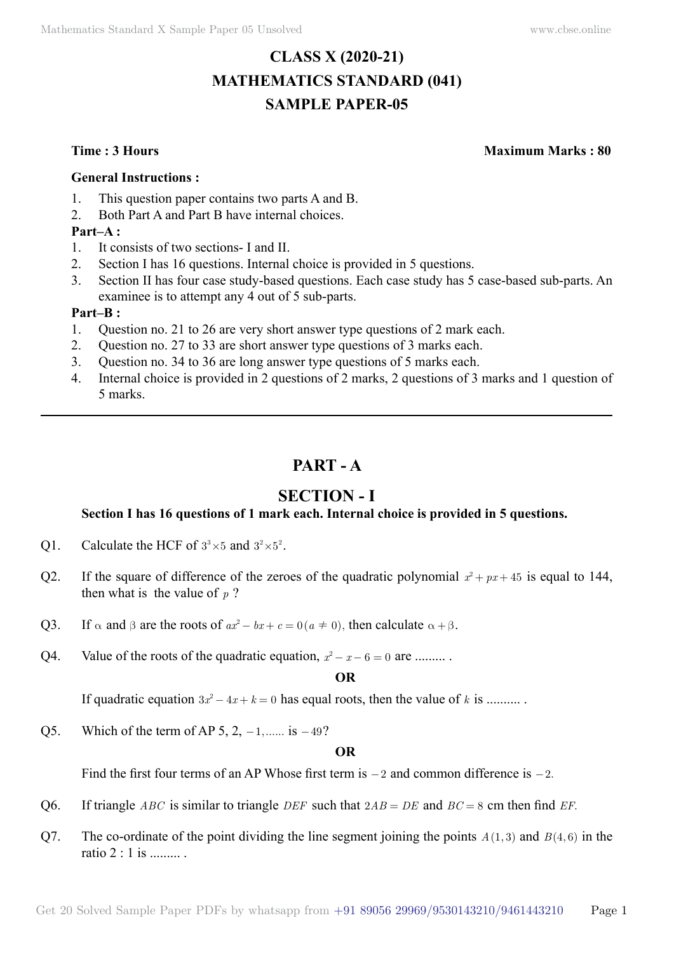# **CLASS X (2020-21) MATHEMATICS STANDARD (041) SAMPLE PAPER-05**

**Time : 3 Hours Maximum Marks : 80**

#### **General Instructions :**

- 1. This question paper contains two parts A and B.
- 2. Both Part A and Part B have internal choices.

### **Part–A :**

- 1. It consists of two sections- I and II.
- 2. Section I has 16 questions. Internal choice is provided in 5 questions.
- 3. Section II has four case study-based questions. Each case study has 5 case-based sub-parts. An examinee is to attempt any 4 out of 5 sub-parts.

#### **Part–B :**

- 1. Question no. 21 to 26 are very short answer type questions of 2 mark each.
- 2. Question no. 27 to 33 are short answer type questions of 3 marks each.
- 3. Question no. 34 to 36 are long answer type questions of 5 marks each.
- 4. Internal choice is provided in 2 questions of 2 marks, 2 questions of 3 marks and 1 question of 5 marks.

# **Part - A**

# **Section - I**

## **Section I has 16 questions of 1 mark each. Internal choice is provided in 5 questions.**

- Q1. Calculate the HCF of  $3^3 \times 5$  and  $3^2 \times 5^2$ .
- Q2. If the square of difference of the zeroes of the quadratic polynomial  $x^2 + px + 45$  is equal to 144, then what is the value of  $p$ ?
- Q3. If  $\alpha$  and  $\beta$  are the roots of  $ax^2 bx + c = 0$  ( $a \ne 0$ ), then calculate  $\alpha + \beta$ .
- Q4. Value of the roots of the quadratic equation,  $x^2 x 6 = 0$  are .........

#### **O**

If quadratic equation  $3x^2 - 4x + k = 0$  has equal roots, then the value of k is ..........

Q5. Which of the term of AP 5, 2,  $-1$ ,...... is  $-49$ ?

#### **O**

Find the first four terms of an AP Whose first term is  $-2$  and common difference is  $-2$ .

- Q6. If triangle *ABC* is similar to triangle *DEF* such that 2*AB* = *DE* and *BC* = 8 cm then find *EF*.
- Q7. The co-ordinate of the point dividing the line segment joining the points  $A(1,3)$  and  $B(4,6)$  in the ratio  $2 \cdot 1$  is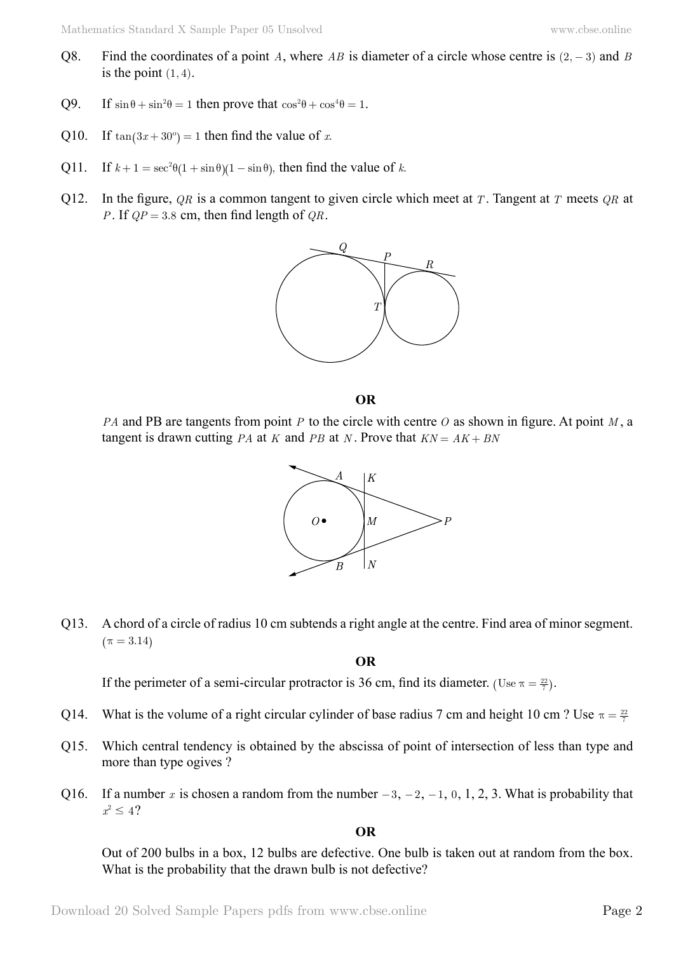- Q8. Find the coordinates of a point A, where AB is diameter of a circle whose centre is  $(2, -3)$  and B is the point  $(1, 4)$ .
- Q9. If  $\sin \theta + \sin^2 \theta = 1$  then prove that  $\cos^2 \theta + \cos^4 \theta = 1$ .
- Q10. If  $tan(3x + 30^\circ) = 1$  then find the value of *x*.
- Q11. If  $k + 1 = \sec^2 \theta (1 + \sin \theta)(1 \sin \theta)$ , then find the value of *k*.
- Q12. In the figure, *QR* is a common tangent to given circle which meet at *T* . Tangent at *T* meets *QR* at *P*. If  $QP = 3.8$  cm, then find length of  $QR$ .



#### **O**

*PA* and PB are tangents from point *P* to the circle with centre *O* as shown in figure. At point *M* , a tangent is drawn cutting *PA* at *K* and *PB* at *N*. Prove that  $KN = AK + BN$ 



Q13. A chord of a circle of radius 10 cm subtends a right angle at the centre. Find area of minor segment.  $(\pi = 3.14)$ 

 **O**

If the perimeter of a semi-circular protractor is 36 cm, find its diameter. (Use  $\pi = \frac{22}{7}$ ).

- Q14. What is the volume of a right circular cylinder of base radius 7 cm and height 10 cm ? Use  $\pi = \frac{22}{7}$
- Q15. Which central tendency is obtained by the abscissa of point of intersection of less than type and more than type ogives ?
- Q16. If a number x is chosen a random from the number  $-3, -2, -1, 0, 1, 2, 3$ . What is probability that  $x^2 \leq 4$ ?

 **O**

Out of 200 bulbs in a box, 12 bulbs are defective. One bulb is taken out at random from the box. What is the probability that the drawn bulb is not defective?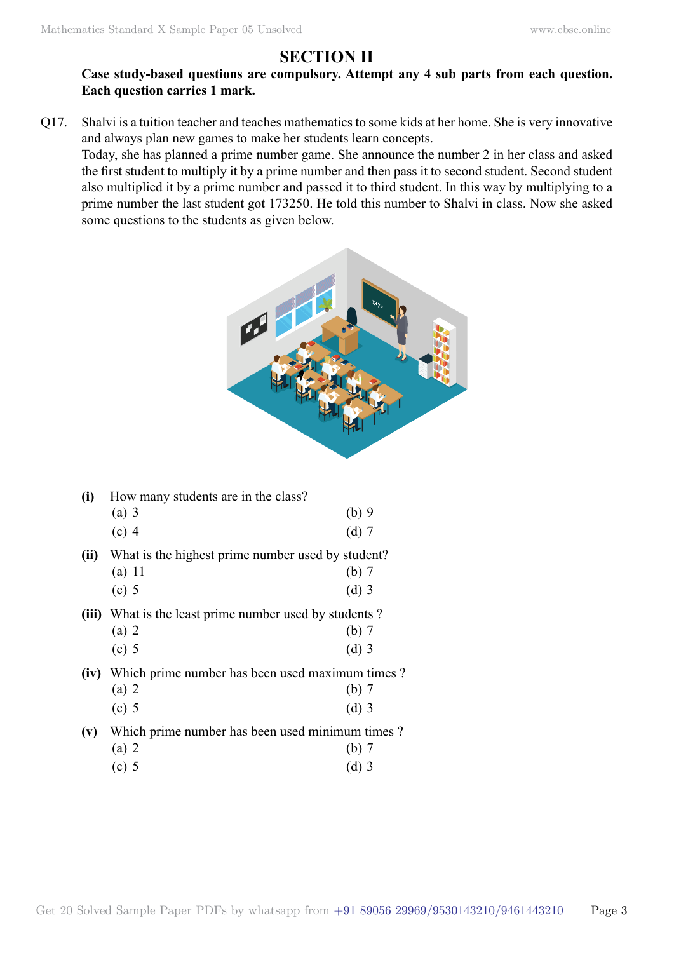# **Section II**

## **Case study-based questions are compulsory. Attempt any 4 sub parts from each question. Each question carries 1 mark.**

Q17. Shalvi is a tuition teacher and teaches mathematics to some kids at her home. She is very innovative and always plan new games to make her students learn concepts.

Today, she has planned a prime number game. She announce the number 2 in her class and asked the first student to multiply it by a prime number and then pass it to second student. Second student also multiplied it by a prime number and passed it to third student. In this way by multiplying to a prime number the last student got 173250. He told this number to Shalvi in class. Now she asked some questions to the students as given below.



| (i)  | How many students are in the class?<br>$(a)$ 3<br>$(c)$ 4                                     | $(b)$ 9<br>$(d)$ 7 |  |
|------|-----------------------------------------------------------------------------------------------|--------------------|--|
| (ii) | What is the highest prime number used by student?<br>$(a)$ 11<br>$(c)$ 5                      | $(b)$ 7<br>$(d)$ 3 |  |
|      | (iii) What is the least prime number used by students?<br>$(a)$ 2<br>$(c)$ 5                  | $(b)$ 7<br>$(d)$ 3 |  |
|      | (iv) Which prime number has been used maximum times?<br>$(a)$ 2<br>(b)7<br>$(c)$ 5<br>$(d)$ 3 |                    |  |
|      | (v) Which prime number has been used minimum times?<br>$(a)$ 2<br>$(c)$ 5                     | (b)7<br>$(d)$ 3    |  |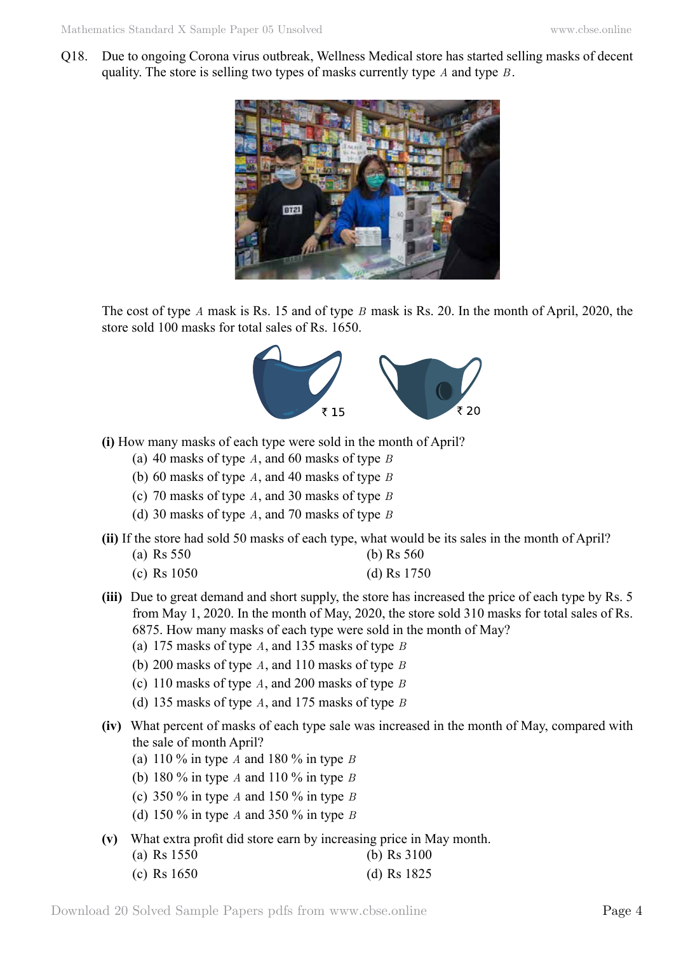Q18. Due to ongoing Corona virus outbreak, Wellness Medical store has started selling masks of decent quality. The store is selling two types of masks currently type *A* and type *B* .



The cost of type *A* mask is Rs. 15 and of type *B* mask is Rs. 20. In the month of April, 2020, the store sold 100 masks for total sales of Rs. 1650.



- **(i)** How many masks of each type were sold in the month of April?
	- (a) 40 masks of type *A*, and 60 masks of type *B*
	- (b) 60 masks of type *A*, and 40 masks of type *B*
	- (c) 70 masks of type *A*, and 30 masks of type *B*
	- (d) 30 masks of type *A*, and 70 masks of type *B*
- **(ii)** If the store had sold 50 masks of each type, what would be its sales in the month of April?

| (a) Rs $550$ | (b) Rs $560$ |
|--------------|--------------|
|              |              |

- (c) Rs 1050 (d) Rs 1750
- **(iii)** Due to great demand and short supply, the store has increased the price of each type by Rs. 5 from May 1, 2020. In the month of May, 2020, the store sold 310 masks for total sales of Rs. 6875. How many masks of each type were sold in the month of May?
	- (a) 175 masks of type *A*, and 135 masks of type *B*
	- (b) 200 masks of type *A*, and 110 masks of type *B*
	- (c) 110 masks of type *A*, and 200 masks of type *B*
	- (d) 135 masks of type *A*, and 175 masks of type *B*
- **(iv)** What percent of masks of each type sale was increased in the month of May, compared with the sale of month April?
	- (a) 110 % in type *A* and 180 % in type *B*
	- (b) 180 % in type *A* and 110 % in type *B*
	- (c) 350 % in type *A* and 150 % in type *B*
	- (d) 150 % in type *A* and 350 % in type *B*
- **(v)** What extra profit did store earn by increasing price in May month.

| (a) Rs $1550$ | (b) Rs $3100$ |
|---------------|---------------|
| (c) Rs $1650$ | (d) Rs $1825$ |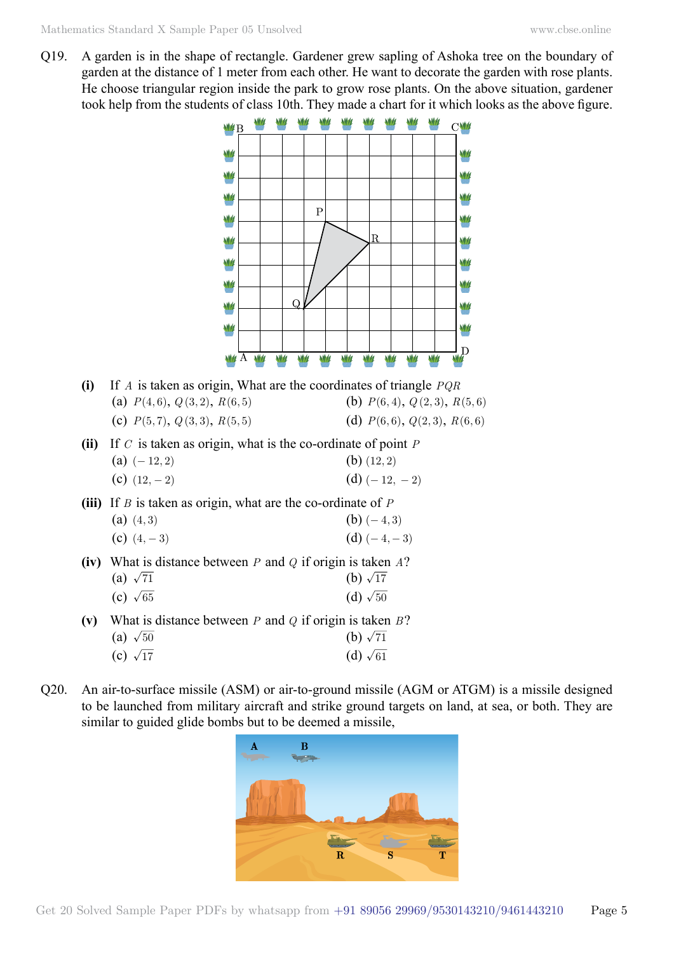Q19. A garden is in the shape of rectangle. Gardener grew sapling of Ashoka tree on the boundary of garden at the distance of 1 meter from each other. He want to decorate the garden with rose plants. He choose triangular region inside the park to grow rose plants. On the above situation, gardener took help from the students of class 10th. They made a chart for it which looks as the above figure.



Q20. An air-to-surface missile (ASM) or air-to-ground missile (AGM or ATGM) is a missile designed to be launched from military aircraft and strike ground targets on land, at sea, or both. They are similar to guided glide bombs but to be deemed a missile,

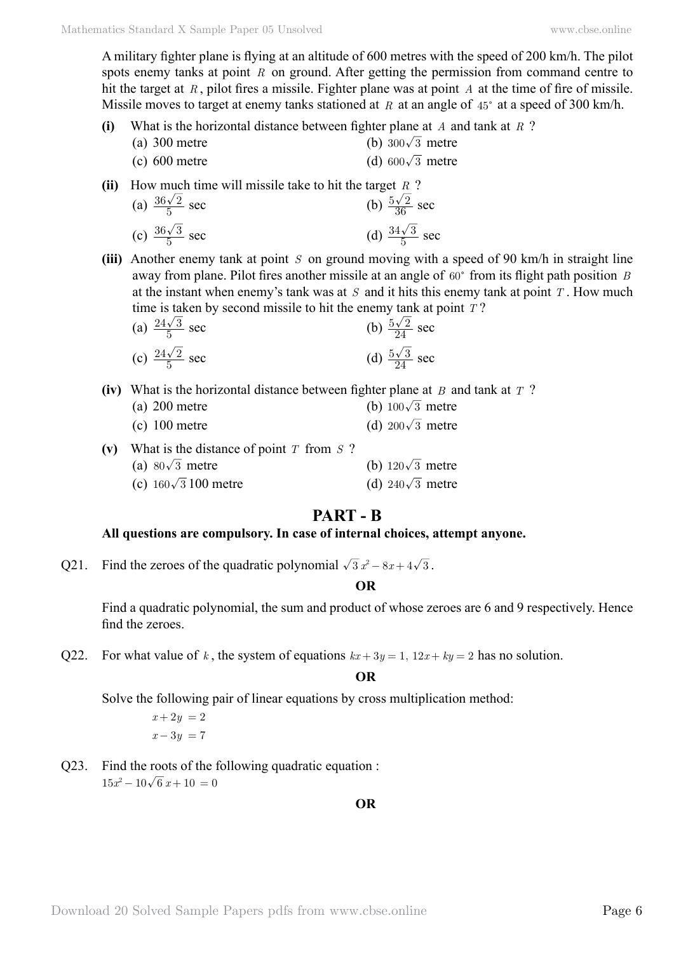A military fighter plane is flying at an altitude of 600 metres with the speed of 200 km/h. The pilot spots enemy tanks at point *R* on ground. After getting the permission from command centre to hit the target at *R* , pilot fires a missile. Fighter plane was at point *A* at the time of fire of missile. Missile moves to target at enemy tanks stationed at  $R$  at an angle of  $45^{\circ}$  at a speed of 300 km/h.

- **(i)** What is the horizontal distance between fighter plane at *A* and tank at *R* ?
	- (a) 300 metre (b)  $300\sqrt{3}$  metre (c) 600 metre (d)  $600\sqrt{3}$  metre

**(ii)** How much time will missile take to hit the target *R* ?

- (a)  $\frac{36\sqrt{2}}{5}$  sec (b)  $\frac{5\sqrt{2}}{36}$ (b)  $\frac{5\sqrt{2}}{36}$  sec (c)  $\frac{36\sqrt{3}}{5}$  sec (d)  $\frac{34\sqrt{3}}{5}$ (d)  $\frac{34\sqrt{3}}{5}$  sec
- **(iii)** Another enemy tank at point *S* on ground moving with a speed of 90 km/h in straight line away from plane. Pilot fires another missile at an angle of  $60^{\circ}$  from its flight path position *B* at the instant when enemy's tank was at *S* and it hits this enemy tank at point *T* . How much time is taken by second missile to hit the enemy tank at point *T* ?

(a) 
$$
\frac{24\sqrt{3}}{5}
$$
 sec  
\n(b)  $\frac{5\sqrt{2}}{24}$  sec  
\n(c)  $\frac{24\sqrt{2}}{5}$  sec  
\n(d)  $\frac{5\sqrt{3}}{24}$  sec

**(iv)** What is the horizontal distance between fighter plane at *B* and tank at *T* ?

| (a) $200$ metre | (b) $100\sqrt{3}$ metre |
|-----------------|-------------------------|
| $(c)$ 100 metre | (d) $200\sqrt{3}$ metre |

**(v)** What is the distance of point *T* from *S* ? (a)  $80\sqrt{3}$  metre (b)  $120\sqrt{3}$  metre (c)  $160\sqrt{3}$  100 metre (d)  $240\sqrt{3}$  metre

## **Part - B**

#### **All questions are compulsory. In case of internal choices, attempt anyone.**

Q21. Find the zeroes of the quadratic polynomial  $\sqrt{3} x^2 - 8x + 4\sqrt{3}$ .

#### **O**

Find a quadratic polynomial, the sum and product of whose zeroes are 6 and 9 respectively. Hence find the zeroes.

Q22. For what value of *k*, the system of equations  $kx + 3y = 1$ ,  $12x + ky = 2$  has no solution.

#### **O**

Solve the following pair of linear equations by cross multiplication method:

$$
x + 2y = 2
$$

$$
x - 3y = 7
$$

Q23. Find the roots of the following quadratic equation :  $15x^2 - 10\sqrt{6}x + 10 = 0$ 

 **O**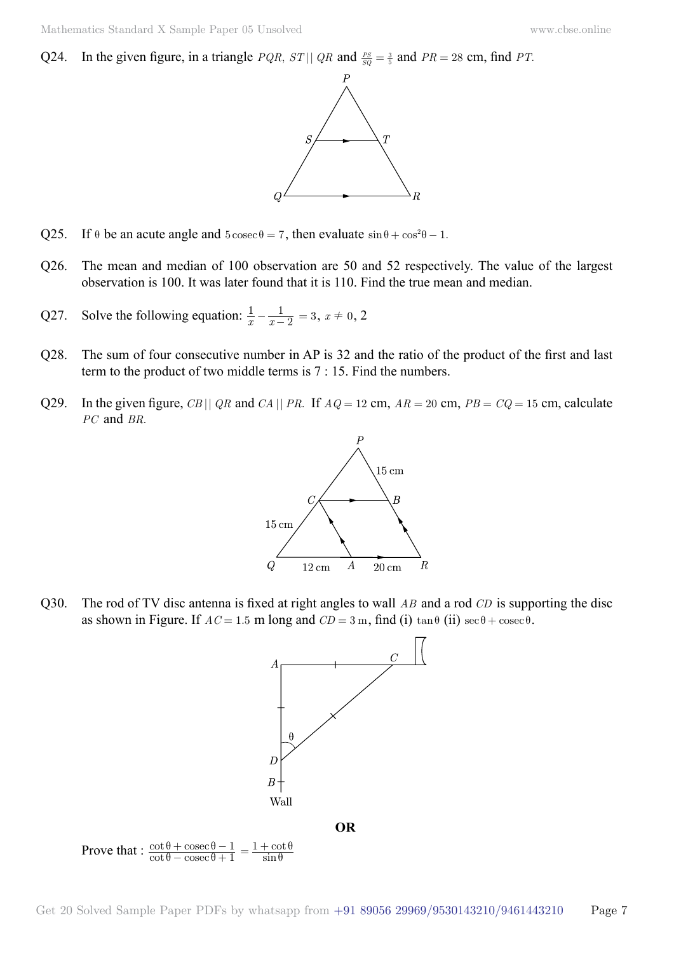Q24. In the given figure, in a triangle *PQR*,  $ST||QR$  and  $\frac{PS}{SQ} = \frac{3}{5}$  and  $PR = 28$  cm, find *PT*.



- Q25. If  $\theta$  be an acute angle and  $5 \csc \theta = 7$ , then evaluate  $\sin \theta + \cos^2 \theta 1$ .
- Q26. The mean and median of 100 observation are 50 and 52 respectively. The value of the largest observation is 100. It was later found that it is 110. Find the true mean and median.
- Q27. Solve the following equation:  $\frac{1}{x} \frac{1}{x}$  $-\frac{1}{x-2} = 3, x \neq 0, 2$
- Q28. The sum of four consecutive number in AP is 32 and the ratio of the product of the first and last term to the product of two middle terms is 7 : 15. Find the numbers.
- Q29. In the given figure, *CB* || *QR* and *CA* || *PR*. If  $AQ = 12$  cm,  $AR = 20$  cm,  $PB = CQ = 15$  cm, calculate *PC* and *BR*.



Q30. The rod of TV disc antenna is fixed at right angles to wall *AB* and a rod *CD* is supporting the disc as shown in Figure. If  $AC = 1.5$  m long and  $CD = 3$  m, find (i)  $\tan \theta$  (ii)  $\sec \theta + \csc \theta$ .